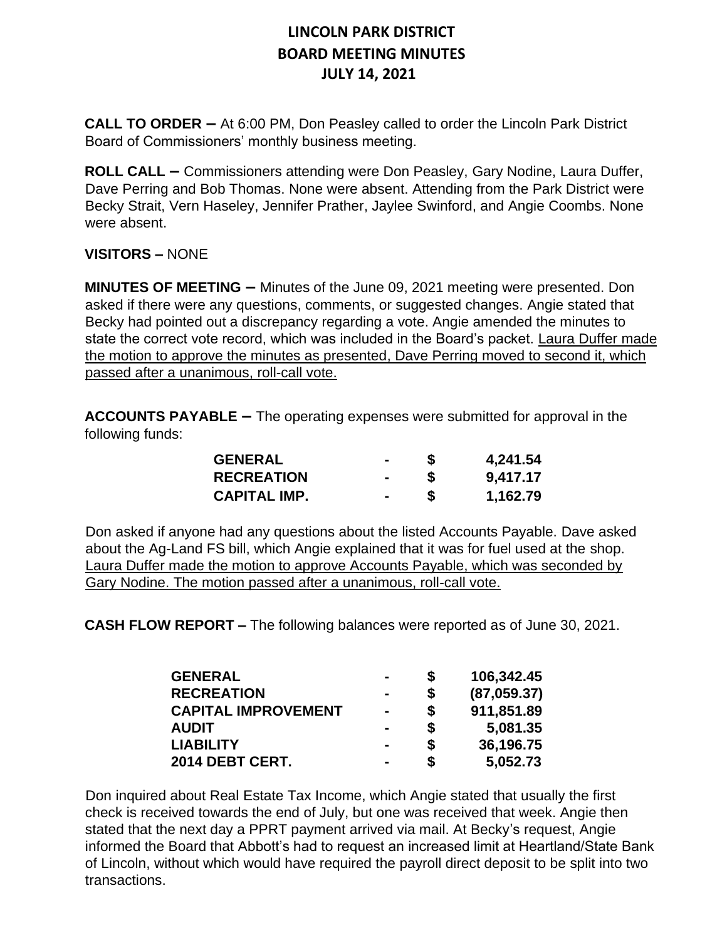**CALL TO ORDER –** At 6:00 PM, Don Peasley called to order the Lincoln Park District Board of Commissioners' monthly business meeting.

**ROLL CALL –** Commissioners attending were Don Peasley, Gary Nodine, Laura Duffer, Dave Perring and Bob Thomas. None were absent. Attending from the Park District were Becky Strait, Vern Haseley, Jennifer Prather, Jaylee Swinford, and Angie Coombs. None were absent.

#### **VISITORS –** NONE

**MINUTES OF MEETING –** Minutes of the June 09, 2021 meeting were presented. Don asked if there were any questions, comments, or suggested changes. Angie stated that Becky had pointed out a discrepancy regarding a vote. Angie amended the minutes to state the correct vote record, which was included in the Board's packet. Laura Duffer made the motion to approve the minutes as presented, Dave Perring moved to second it, which passed after a unanimous, roll-call vote.

**ACCOUNTS PAYABLE –** The operating expenses were submitted for approval in the following funds:

| <b>GENERAL</b>      |        |   | 4,241.54 |
|---------------------|--------|---|----------|
| <b>RECREATION</b>   | $\sim$ | S | 9,417.17 |
| <b>CAPITAL IMP.</b> | $\sim$ | S | 1,162.79 |

Don asked if anyone had any questions about the listed Accounts Payable. Dave asked about the Ag-Land FS bill, which Angie explained that it was for fuel used at the shop. Laura Duffer made the motion to approve Accounts Payable, which was seconded by Gary Nodine. The motion passed after a unanimous, roll-call vote.

**CASH FLOW REPORT –** The following balances were reported as of June 30, 2021.

| <b>GENERAL</b><br><b>RECREATION</b><br><b>CAPITAL IMPROVEMENT</b><br><b>AUDIT</b><br><b>LIABILITY</b><br>2014 DEBT CERT. |                | S                  | 106,342.45                                         |
|--------------------------------------------------------------------------------------------------------------------------|----------------|--------------------|----------------------------------------------------|
|                                                                                                                          | $\blacksquare$ | S<br>\$<br>\$<br>S | (87,059.37)<br>911,851.89<br>5,081.35<br>36,196.75 |
|                                                                                                                          | $\blacksquare$ |                    |                                                    |
|                                                                                                                          | $\blacksquare$ |                    |                                                    |
|                                                                                                                          |                |                    |                                                    |

Don inquired about Real Estate Tax Income, which Angie stated that usually the first check is received towards the end of July, but one was received that week. Angie then stated that the next day a PPRT payment arrived via mail. At Becky's request, Angie informed the Board that Abbott's had to request an increased limit at Heartland/State Bank of Lincoln, without which would have required the payroll direct deposit to be split into two transactions.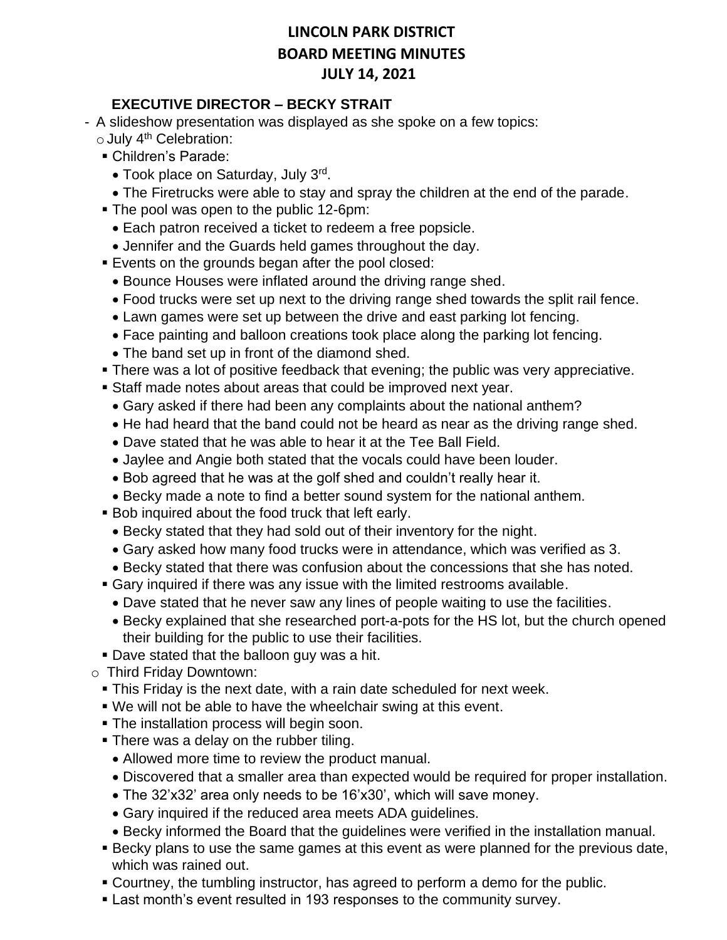#### **EXECUTIVE DIRECTOR – BECKY STRAIT**

- A slideshow presentation was displayed as she spoke on a few topics:
	- $\circ$  July 4<sup>th</sup> Celebration:
	- Children's Parade:
		- Took place on Saturday, July 3rd.
	- The Firetrucks were able to stay and spray the children at the end of the parade.
	- The pool was open to the public 12-6pm:
		- Each patron received a ticket to redeem a free popsicle.
		- Jennifer and the Guards held games throughout the day.
	- **Events on the grounds began after the pool closed:** 
		- Bounce Houses were inflated around the driving range shed.
		- Food trucks were set up next to the driving range shed towards the split rail fence.
		- Lawn games were set up between the drive and east parking lot fencing.
		- Face painting and balloon creations took place along the parking lot fencing.
		- The band set up in front of the diamond shed.
	- **There was a lot of positive feedback that evening; the public was very appreciative.**
	- **EXEL Staff made notes about areas that could be improved next year.** 
		- Gary asked if there had been any complaints about the national anthem?
		- He had heard that the band could not be heard as near as the driving range shed.
		- Dave stated that he was able to hear it at the Tee Ball Field.
		- Jaylee and Angie both stated that the vocals could have been louder.
		- Bob agreed that he was at the golf shed and couldn't really hear it.
		- Becky made a note to find a better sound system for the national anthem.
	- Bob inquired about the food truck that left early.
		- Becky stated that they had sold out of their inventory for the night.
		- Gary asked how many food trucks were in attendance, which was verified as 3.
		- Becky stated that there was confusion about the concessions that she has noted.
	- Gary inquired if there was any issue with the limited restrooms available.
		- Dave stated that he never saw any lines of people waiting to use the facilities.
		- Becky explained that she researched port-a-pots for the HS lot, but the church opened their building for the public to use their facilities.
	- **Dave stated that the balloon guy was a hit.**
- o Third Friday Downtown:
	- **This Friday is the next date, with a rain date scheduled for next week.**
	- We will not be able to have the wheelchair swing at this event.
	- **The installation process will begin soon.**
	- There was a delay on the rubber tiling.
		- Allowed more time to review the product manual.
		- Discovered that a smaller area than expected would be required for proper installation.
		- The 32'x32' area only needs to be 16'x30', which will save money.
		- Gary inquired if the reduced area meets ADA guidelines.
		- Becky informed the Board that the guidelines were verified in the installation manual.
	- **E** Becky plans to use the same games at this event as were planned for the previous date, which was rained out.
	- Courtney, the tumbling instructor, has agreed to perform a demo for the public.
	- **Example 1 Figure 1** Last month's event resulted in 193 responses to the community survey.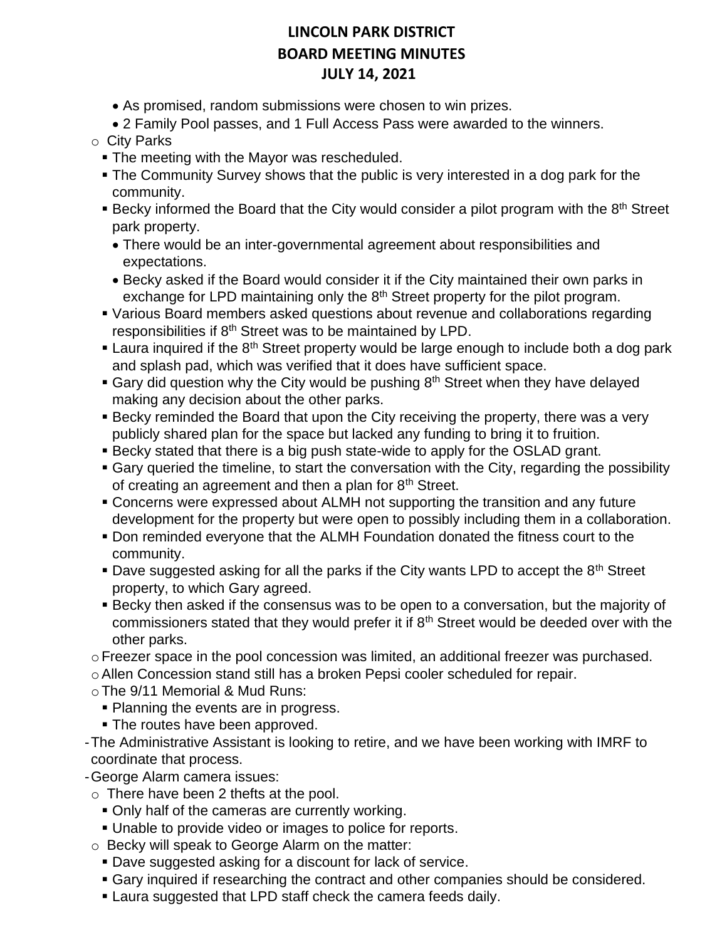• As promised, random submissions were chosen to win prizes.

• 2 Family Pool passes, and 1 Full Access Pass were awarded to the winners.

- o City Parks
	- **The meeting with the Mayor was rescheduled.**
	- The Community Survey shows that the public is very interested in a dog park for the community.
	- Becky informed the Board that the City would consider a pilot program with the 8<sup>th</sup> Street park property.
		- There would be an inter-governmental agreement about responsibilities and expectations.
		- Becky asked if the Board would consider it if the City maintained their own parks in exchange for LPD maintaining only the 8<sup>th</sup> Street property for the pilot program.
	- Various Board members asked questions about revenue and collaborations regarding responsibilities if 8<sup>th</sup> Street was to be maintained by LPD.
	- **Example 1** Laura inquired if the  $8<sup>th</sup>$  Street property would be large enough to include both a dog park and splash pad, which was verified that it does have sufficient space.
	- **E** Gary did question why the City would be pushing  $8<sup>th</sup>$  Street when they have delayed making any decision about the other parks.
	- **E** Becky reminded the Board that upon the City receiving the property, there was a very publicly shared plan for the space but lacked any funding to bring it to fruition.
	- Becky stated that there is a big push state-wide to apply for the OSLAD grant.
	- Gary queried the timeline, to start the conversation with the City, regarding the possibility of creating an agreement and then a plan for  $8<sup>th</sup>$  Street.
	- **Concerns were expressed about ALMH not supporting the transition and any future** development for the property but were open to possibly including them in a collaboration.
	- Don reminded everyone that the ALMH Foundation donated the fitness court to the community.
	- **Dave suggested asking for all the parks if the City wants LPD to accept the 8<sup>th</sup> Street** property, to which Gary agreed.
	- **EXECT ASSES IF SECT ASSESS IT ASSESS** FOR THE MAGNITY Of commissioners stated that they would prefer it if  $8<sup>th</sup>$  Street would be deeded over with the other parks.
- $\circ$  Freezer space in the pool concession was limited, an additional freezer was purchased.
- oAllen Concession stand still has a broken Pepsi cooler scheduled for repair.
- oThe 9/11 Memorial & Mud Runs:
	- **Planning the events are in progress.**
	- **The routes have been approved.**
- -The Administrative Assistant is looking to retire, and we have been working with IMRF to coordinate that process.
- -George Alarm camera issues:
- o There have been 2 thefts at the pool.
	- **Only half of the cameras are currently working.**
	- Unable to provide video or images to police for reports.
- o Becky will speak to George Alarm on the matter:
	- Dave suggested asking for a discount for lack of service.
	- Gary inquired if researching the contract and other companies should be considered.
	- **Example 3** Laura suggested that LPD staff check the camera feeds daily.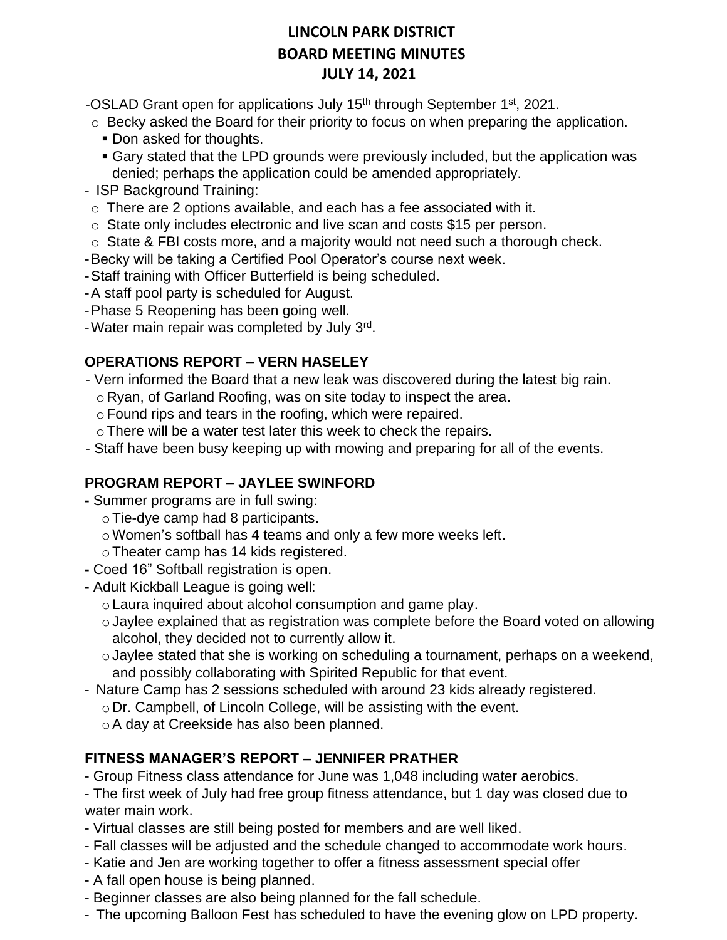-OSLAD Grant open for applications July 15<sup>th</sup> through September 1<sup>st</sup>, 2021.

- o Becky asked the Board for their priority to focus on when preparing the application.
	- Don asked for thoughts.
	- Gary stated that the LPD grounds were previously included, but the application was denied; perhaps the application could be amended appropriately.
- ISP Background Training:
- $\circ$  There are 2 options available, and each has a fee associated with it.
- o State only includes electronic and live scan and costs \$15 per person.
- o State & FBI costs more, and a majority would not need such a thorough check.
- -Becky will be taking a Certified Pool Operator's course next week.
- -Staff training with Officer Butterfield is being scheduled.
- -A staff pool party is scheduled for August.
- -Phase 5 Reopening has been going well.
- Water main repair was completed by July 3rd.

### **OPERATIONS REPORT – VERN HASELEY**

- Vern informed the Board that a new leak was discovered during the latest big rain.
	- o Ryan, of Garland Roofing, was on site today to inspect the area.
	- oFound rips and tears in the roofing, which were repaired.
	- oThere will be a water test later this week to check the repairs.
- Staff have been busy keeping up with mowing and preparing for all of the events.

## **PROGRAM REPORT – JAYLEE SWINFORD**

- **-** Summer programs are in full swing:
	- oTie-dye camp had 8 participants.
	- o Women's softball has 4 teams and only a few more weeks left.
	- oTheater camp has 14 kids registered.
- **-** Coed 16" Softball registration is open.
- **-** Adult Kickball League is going well:
	- oLaura inquired about alcohol consumption and game play.
	- oJaylee explained that as registration was complete before the Board voted on allowing alcohol, they decided not to currently allow it.
	- oJaylee stated that she is working on scheduling a tournament, perhaps on a weekend, and possibly collaborating with Spirited Republic for that event.
- Nature Camp has 2 sessions scheduled with around 23 kids already registered.
	- o Dr. Campbell, of Lincoln College, will be assisting with the event.
	- oA day at Creekside has also been planned.

## **FITNESS MANAGER'S REPORT – JENNIFER PRATHER**

- Group Fitness class attendance for June was 1,048 including water aerobics.

- The first week of July had free group fitness attendance, but 1 day was closed due to water main work.

- Virtual classes are still being posted for members and are well liked.
- Fall classes will be adjusted and the schedule changed to accommodate work hours.
- Katie and Jen are working together to offer a fitness assessment special offer
- A fall open house is being planned.
- Beginner classes are also being planned for the fall schedule.
- The upcoming Balloon Fest has scheduled to have the evening glow on LPD property.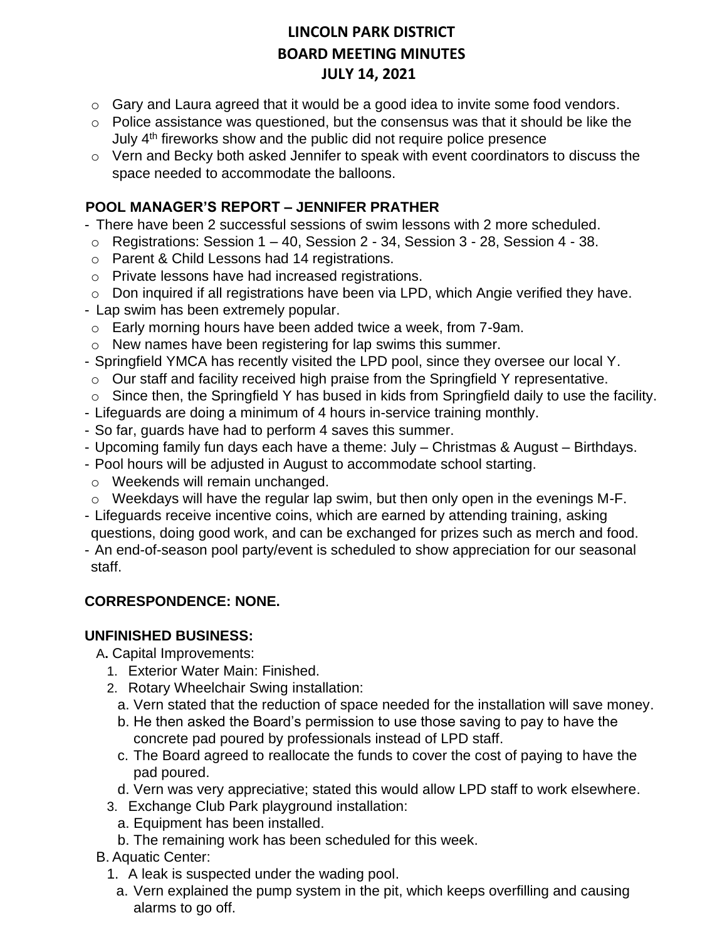- o Gary and Laura agreed that it would be a good idea to invite some food vendors.
- $\circ$  Police assistance was questioned, but the consensus was that it should be like the July 4<sup>th</sup> fireworks show and the public did not require police presence
- $\circ$  Vern and Becky both asked Jennifer to speak with event coordinators to discuss the space needed to accommodate the balloons.

### **POOL MANAGER'S REPORT – JENNIFER PRATHER**

- There have been 2 successful sessions of swim lessons with 2 more scheduled.
- $\circ$  Registrations: Session 1 40, Session 2 34, Session 3 28, Session 4 38.
- o Parent & Child Lessons had 14 registrations.
- o Private lessons have had increased registrations.
- $\circ$  Don inquired if all registrations have been via LPD, which Angie verified they have.
- Lap swim has been extremely popular.
- o Early morning hours have been added twice a week, from 7-9am.
- o New names have been registering for lap swims this summer.
- Springfield YMCA has recently visited the LPD pool, since they oversee our local Y.
- o Our staff and facility received high praise from the Springfield Y representative.
- $\circ$  Since then, the Springfield Y has bused in kids from Springfield daily to use the facility.
- Lifeguards are doing a minimum of 4 hours in-service training monthly.
- So far, guards have had to perform 4 saves this summer.
- Upcoming family fun days each have a theme: July Christmas & August Birthdays.
- Pool hours will be adjusted in August to accommodate school starting.
- o Weekends will remain unchanged.
- o Weekdays will have the regular lap swim, but then only open in the evenings M-F.
- Lifeguards receive incentive coins, which are earned by attending training, asking questions, doing good work, and can be exchanged for prizes such as merch and food.
- An end-of-season pool party/event is scheduled to show appreciation for our seasonal staff.

#### **CORRESPONDENCE: NONE.**

#### **UNFINISHED BUSINESS:**

A**.** Capital Improvements:

- 1. Exterior Water Main: Finished.
- 2. Rotary Wheelchair Swing installation:
	- a. Vern stated that the reduction of space needed for the installation will save money.
	- b. He then asked the Board's permission to use those saving to pay to have the concrete pad poured by professionals instead of LPD staff.
	- c. The Board agreed to reallocate the funds to cover the cost of paying to have the pad poured.
	- d. Vern was very appreciative; stated this would allow LPD staff to work elsewhere.
- 3. Exchange Club Park playground installation:
	- a. Equipment has been installed.
	- b. The remaining work has been scheduled for this week.
- B. Aquatic Center:
	- 1. A leak is suspected under the wading pool.
	- a. Vern explained the pump system in the pit, which keeps overfilling and causing alarms to go off.